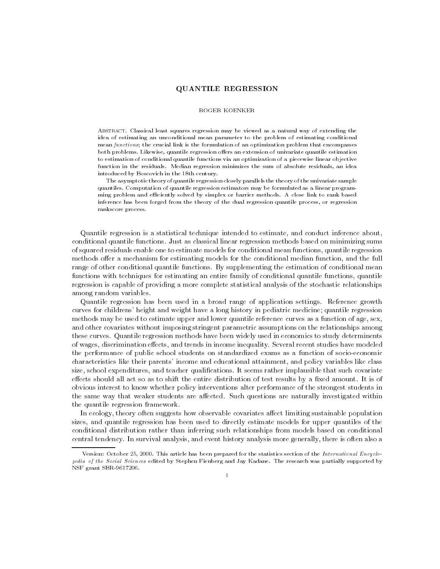# QUANTILE REGRESSION

#### **ROGER KOENKER**

Abstract. Classical least squares regression may be viewed as a natural way of extending the idea of estimating an unconditional mean parameter to the problem of estimating conditional mean functions; the crucial link is the formulation of an optimization problem that encompasses both problems. Likewise, quantile regression offers an extension of univariate quantile estimation to estimation of conditional quantile functions via an optimization of a piecewise linear ob jective function in the residuals. Median regression minimizes the sum of absolute residuals, an idea introduced by Boscovich in the 18th century.

The asymptotic theory of quantile regression closely parallels the theory of the univariate sample quantiles. Computation of quantile regression estimators may be formulated as a linear programming problem and efficiently solved by simplex or barrier methods. A close link to rank based inference has been forged from the theory of the dual regression quantile process, or regression rankscore process.

Quantile regression is a statistical technique intended to estimate, and conduct inference about, conditional quantile functions. Just as classical linear regression methods based on minimizing sums of squared residuals enable one to estimate models for conditional mean functions, quantile regression methods offer a mechanism for estimating models for the conditional median function, and the full range of other conditional quantile functions. By supplementing the estimation of conditional mean functions with techniques for estimating an entire family of conditional quantile functions, quantile regression is capable of providing a more complete statistical analysis of the stochastic relationships among random variables.

Quantile regression has been used in a broad range of application settings. Reference growth curves for childrens' height and weight have a long history in pediatric medicine; quantile regression methods may be used to estimate upper and lower quantile reference curves as a function of age, sex, and other covariates without imposing stringent parametric assumptions on the relationships among these curves. Quantile regression methods have been widely used in economics to study determinents of wages, discrimination effects, and trends in income inequality. Several recent studies have modeled the performance of public school students on standardized exams as a function of socio-economic characteristics like their parents' income and educational attainment, and policy variables like class size, school expenditures, and teacher qualifications. It seems rather implausible that such covariate effects should all act so as to shift the entire distribution of test results by a fixed amount. It is of obvious interest to know whether policy interventions alter performance of the strongest students in the same way that weaker students are affected. Such questions are naturally investigated within the quantile regression framework.

In ecology, theory often suggests how observable covariates affect limiting sustainable population sizes, and quantile regression has been used to directly estimate models for upper quantiles of the conditional distribution rather than inferring such relationships from models based on conditional central tendency. In survival analysis, and event history analysis more generally, there is often also a

Version: October 25, 2000. This article has been prepared for the statistics section of the International Encyclopedia of the Social Sciences edited by Stephen Fienberg and Jay Kadane. The research was partially supported by NSF grant SBR-9617206.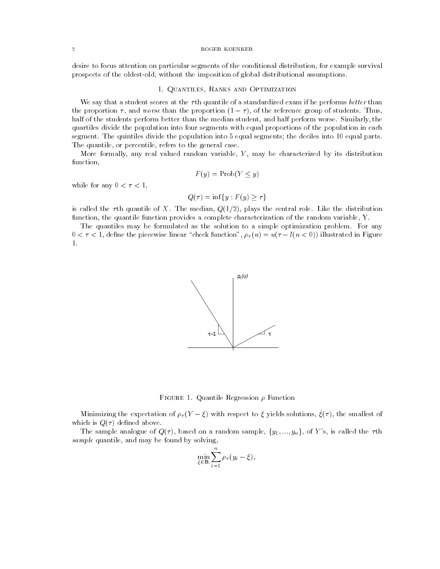#### 2 ROGER KOENKER

desire to focus attention on particular segments of the conditional distribution, for example survival prospects of the oldest-old, without the imposition of global distributional assumptions.

## 1. Quantiles, Ranks and Optimization

We say that a student scores at the  $\tau$ th quantile of a standardized exam if he performs better than the proportion  $\tau$ , and worse than the proportion  $(1 - \tau)$ , of the reference group of students. Thus, half of the students perform better than the median student, and half perform worse. Similarly, the quartiles divide the population into four segments with equal proportions of the population in each segment. The quintiles divide the population into 5 equal segments; the deciles into 10 equal parts. The quantile, or percentile, refers to the general case.

More formally, any real valued random variable,  $Y$ , may be characterized by its distribution function,

$$
F(y) = \text{Prob}(Y \le y)
$$

while for any  $0 < \tau < 1$ ,

$$
Q(\tau) = \inf\{y : F(y) \ge \tau\}
$$

is called the  $\tau$ th quantile of X. The median,  $Q(1/2)$ , plays the central role. Like the distribution function, the quantile function provides a complete characterization of the random variable, Y.

The quantiles may be formulated as the solution to a simple optimization problem. For any  $0 < \tau < 1$ , define the piecewise linear "check function",  $\rho_{\tau}(u) = u(\tau - I(u < 0))$  illustrated in Figure 1.



FIGURE 1. Quantile Regression  $\rho$  Function

Minimizing the expectation of  $p_{\tau}$  ( $T = \zeta$ ) with respect to  $\zeta$  yields solutions,  $\zeta(T)$ , the smallest of which is  $Q(\tau)$  defined above.

The sample analogue of  $Q(\tau)$ , based on a random sample,  $\{y_1, ..., y_n\}$ , of Y's, is called the  $\tau$ th sample quantile, and may be found by solving,

$$
\min_{\xi \in \mathbf{R}} \sum_{i=1}^n \rho_\tau(y_i - \xi),
$$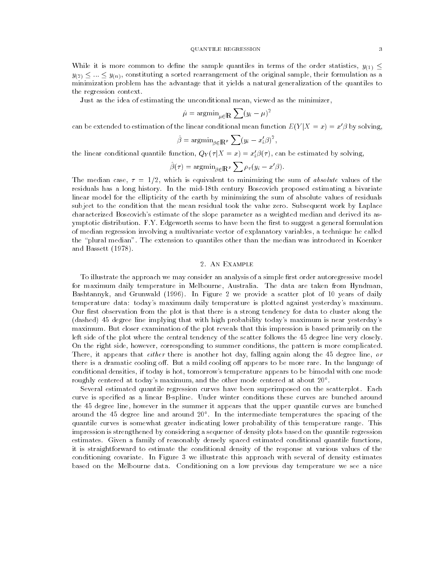While it is more common to define the sample quantiles in terms of the order statistics,  $y_{(1)} \n\t\leq$  $y_{(2)} \leq ... \leq y_{(n)}$ , constituting a sorted rearrangement of the original sample, their formulation as a minimization problem has the advantage that it yields a natural generalization of the quantiles to the regression context.

Just as the idea of estimating the unconditional mean, viewed as the minimizer,

$$
\hat{\mu} = \operatorname{argmin}_{\mu \in \mathbb{R}} \sum (y_i - \mu)^2
$$

can be extended to estimation of the linear conditional mean function  $E(Y|X=x) = x'\beta$  by solving,

$$
\hat{\beta} = \mathrm{argmin}_{\beta \in \mathbb{R}^p} \sum (y_i - x_i' \beta)^2,
$$

the linear conditional quantile function,  $Q_Y(\tau | X = x) = x'_i \beta(\tau)$ , can be estimated by solving,

$$
\hat{\beta}(\tau) = \operatorname{argmin}_{\beta \in \mathbb{R}^p} \sum \rho_{\tau}(y_i - x'\beta).
$$

The median case,  $\tau = 1/2$ , which is equivalent to minimizing the sum of absolute values of the residuals has a long history. In the mid-18th century Boscovich proposed estimating a bivariate linear model for the ellipticity of the earth by minimizing the sum of absolute values of residuals subject to the condition that the mean residual took the value zero. Subsequent work by Laplace characterized Boscovich's estimate of the slope parameter as a weighted median and derived its asymptotic distribution.  $F.Y.$  Edgeworth seems to have been the first to suggest a general formulation of median regression involving a multivariate vector of explanatory variables, a technique he called the "plural median". The extension to quantiles other than the median was introduced in Koenker and Bassett (1978).

# 2. An Example

To illustrate the approach we may consider an analysis of a simple first order autoregressive model for maximum daily temperature in Melbourne, Australia. The data are taken from Hyndman, Bashtannyk, and Grunwald (1996). In Figure 2 we provide a scatter plot of 10 years of daily temperature data: today's maximum daily temperature is plotted against yesterday's maximum. Our first observation from the plot is that there is a strong tendency for data to cluster along the (dashed) 45 degree line implying that with high probability today's maximum is near yesterday's maximum. But closer examination of the plot reveals that this impression is based primarily on the left side of the plot where the central tendency of the scatter follows the 45 degree line very closely. On the right side, however, corresponding to summer conditions, the pattern is more complicated. There, it appears that *either* there is another hot day, falling again along the 45 degree line, or there is a dramatic cooling off. But a mild cooling off appears to be more rare. In the language of conditional densities, if today is hot, tomorrow's temperature appears to be bimodal with one mode roughly centered at today's maximum, and the other mode centered at about 20 .

Several estimated quantile regression curves have been superimposed on the scatterplot. Each curve is specified as a linear B-spline. Under winter conditions these curves are bunched around the 45 degree line, however in the summer it appears that the upper quantile curves are bunched around the 45 degree line and around 20°. In the intermediate temperatures the spacing of the  $\,$ quantile curves is somewhat greater indicating lower probability of this temperature range. This impression is strengthened by considering a sequence of density plots based on the quantile regression estimates. Given a family of reasonably densely spaced estimated conditional quantile functions, it is straightforward to estimate the conditional density of the response at various values of the conditioning covariate. In Figure 3 we illustrate this approach with several of density estimates based on the Melbourne data. Conditioning on a low previous day temperature we see a nice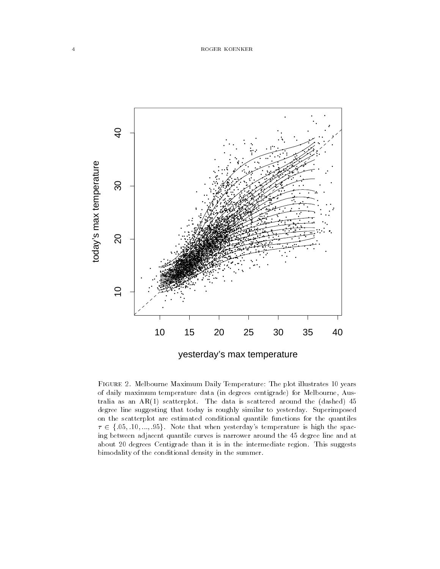

FIGURE 2. Melbourne Maximum Daily Temperature: The plot illustrates 10 years of daily maximum temperature data (in degrees centigrade) for Melbourne, Australia as an  $AR(1)$  scatterplot. The data is scattered around the (dashed)  $45$ degree line suggesting that today is roughly similar to yesterday. Superimposed on the scatterplot are estimated conditional quantile functions for the quantiles  $\tau \in \{.05, .10, ..., .95\}$ . Note that when yesterday's temperature is high the spacing between adjacent quantile curves is narrower around the 45 degree line and at about 20 degrees Centigrade than it is in the intermediate region. This suggests bimodality of the conditional density in the summer.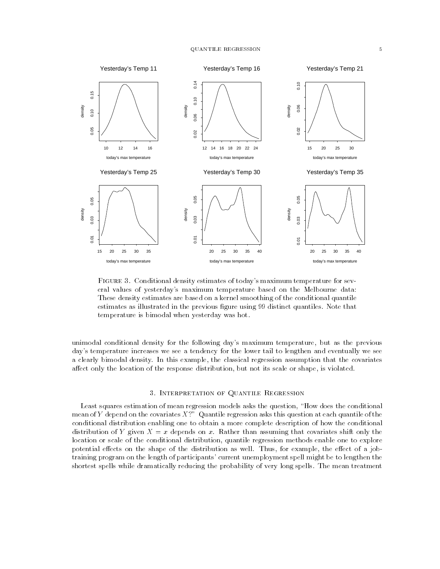

Figure 3. Conditional density estimates of today's maximum temperature for several values of yesterday's maximum temperature based on the Melbourne data: These density estimates are based on a kernel smoothing of the conditional quantile estimates as illustrated in the previous figure using 99 distinct quantiles. Note that temperature is bimodal when yesterday was hot.

unimodal conditional density for the following day's maximum temperature, but as the previous day's temperature increases we see a tendency for the lower tail to lengthen and eventually we see a clearly bimodal density. In this example, the classical regression assumption that the covariates affect only the location of the response distribution, but not its scale or shape, is violated.

### 3. Interpretation of Quantile Regression

Least squares estimation of mean regression models asks the question, "How does the conditional mean of Y depend on the covariates  $X$ ?" Quantile regression asks this question at each quantile of the conditional distribution enabling one to obtain a more complete description of how the conditional distribution of Y given  $X = x$  depends on x. Rather than assuming that covariates shift only the location or scale of the conditional distribution, quantile regression methods enable one to explore potential effects on the shape of the distribution as well. Thus, for example, the effect of a jobtraining program on the length of participants' current unemployment spell might be to lengthen the shortest spells while dramatically reducing the probability of very long spells. The mean treatment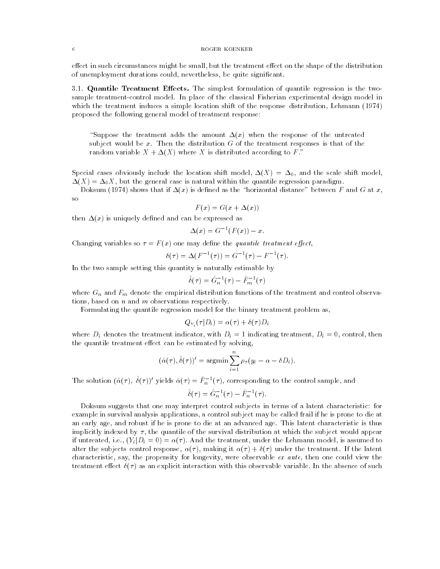effect in such circumstances might be small, but the treatment effect on the shape of the distribution of unemployment durations could, nevertheless, be quite significant.

3.1. Quantile Treatment Effects. The simplest formulation of quantile regression is the twosample treatment-control model. In place of the classical Fisherian experimental design model in which the treatment induces a simple location shift of the response distribution, Lehmann (1974) proposed the following general model of treatment response:

"Suppose the treatment adds the amount  $\Delta(x)$  when the response of the untreated subject would be x. Then the distribution  $G$  of the treatment responses is that of the random variable  $X + \Delta(X)$  where X is distributed according to F."

Special cases obviously include the location shift model,  $\Delta(X)=\Delta_0$ , and the scale shift model,  $\Delta(X)=\Delta_0X$ , but the general case is natural within the quantile regression paradigm.

Doksum (1974) shows that if  $\Delta(x)$  is defined as the "horizontal distance" between F and G at x, so

$$
F(x) = G(x + \Delta(x))
$$

then  $\Delta(x)$  is uniquely defined and can be expressed as

$$
\Delta(x) = G^{-1}(F(x)) - x.
$$

Changing variables so  $\tau = F(x)$  one may define the quantile treatment effect,

$$
\delta(\tau) = \Delta(F^{-1}(\tau)) = G^{-1}(\tau) - F^{-1}(\tau).
$$

In the two sample setting this quantity is naturally estimable by

$$
\hat{\delta}(\tau) = \hat{G}_n^{-1}(\tau) - \hat{F}_m^{-1}(\tau)
$$

where  $G_n$  and  $F_m$  denote the empirical distribution functions of the treatment and control observations, based on  $n$  and  $m$  observations respectively.

Formulating the quantile regression model for the binary treatment problem as,

$$
Q_{Y_i}(\tau|D_i) = \alpha(\tau) + \delta(\tau)D_i
$$

where  $D_i$  denotes the treatment indicator, with  $D_i = 1$  indicating treatment,  $D_i = 0$ , control, then the quantile treatment effect can be estimated by solving,

$$
(\hat{\alpha}(\tau), \hat{\delta}(\tau))' = \operatorname{argmin} \sum_{i=1}^{n} \rho_{\tau}(y_i - \alpha - \delta D_i).
$$

The solution  $(\alpha(\tau), o(\tau))$  yields  $\alpha(\tau) = r_n$   $(\tau)$ , corresponding to the control sample, and

$$
\hat{\delta}(\tau) = \hat{G}_n^{-1}(\tau) - \hat{F}_n^{-1}(\tau).
$$

Doksum suggests that one may interpret control subjects in terms of a latent characteristic: for example in survival analysis applications, a control subject may be called frail if he is prone to die at an early age, and robust if he is prone to die at an advanced age. This latent characteristic is thus implicitly indexed by  $\tau$ , the quantile of the survival distribution at which the subject would appear if untreated, i.e.,  $(Y_i|D_i = 0) = \alpha(\tau)$ . And the treatment, under the Lehmann model, is assumed to alter the subjects control response,  $\alpha(\tau)$ , making it  $\alpha(\tau) + \delta(\tau)$  under the treatment. If the latent characteristic, say, the propensity for longevity, were observable ex ante, then one could view the treatment effect  $\delta(\tau)$  as an explicit interaction with this observable variable. In the absence of such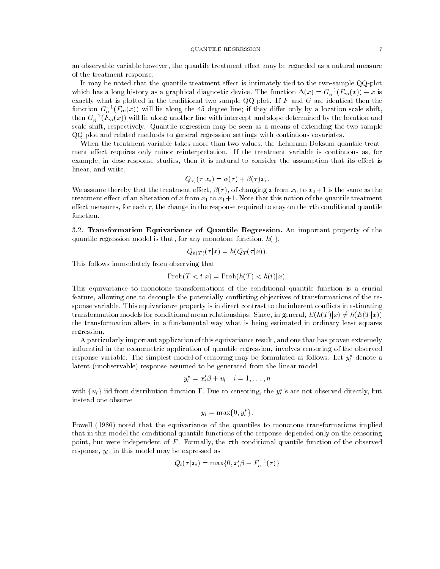an observable variable however, the quantile treatment effect may be regarded as a natural measure of the treatment response.

It may be noted that the quantile treatment effect is intimately tied to the two-sample QQ-plot which has a long history as a graphical diagnostic device. The function  $\Delta(x) \equiv G_n^{-1}(F_m(x)) = x$  is exactly what is plotted in the traditional two sample QQ-plot. If  $F$  and  $G$  are identical then the function  $G_n$  (F $_m(x)$ ) will lie along the 45 degree line; if they differ only by a location scale shift, then  $G_n^{-1}(F_m(x))$  will lie along another line with intercept and slope determined by the location and scale shift, respectively. Quantile regression may be seen as a means of extending the two-sample QQ plot and related methods to general regression settings with continuous covariates.

When the treatment variable takes more than two values, the Lehmann-Doksum quantile treat ment effect requires only minor reinterpretation. If the treatment variable is continuous as, for example, in dose-response studies, then it is natural to consider the assumption that its effect is linear, and write,

$$
Q_{Y_i}(\tau|x_i) = \alpha(\tau) + \beta(\tau)x_i.
$$

We assume thereby that the treatment effect,  $\beta(\tau)$ , of changing x from  $x_0$  to  $x_0+1$  is the same as the treatment effect of an alteration of x from  $x_1$  to  $x_1+1$ . Note that this notion of the quantile treatment effect measures, for each  $\tau$ , the change in the response required to stay on the  $\tau$ th conditional quantile function.

3.2. Transformation Equivariance of Quantile Regression. An important property of the quantile regression model is that, for any monotone function,  $h(.)$ ,

$$
Q_{h(T)}(\tau|x) = h(Q_T(\tau|x)).
$$

This follows immediately from observing that

$$
\operatorname{Prob}(T < t|x) = \operatorname{Prob}(h(T) < h(t)|x).
$$

This equivariance to monotone transformations of the conditional quantile function is a crucial feature, allowing one to decouple the potentially conflicting objectives of transformations of the response variable. This equivariance property is in direct contrast to the inherent conflicts in estimating transformation models for conditional mean relationships. Since, in general,  $E(h(T)|x) \neq h(E(T|x))$ the transformation alters in a fundamental way what is being estimated in ordinary least squares regression.

A particularly important application of this equivariance result, and one that has proven extremely in
uential in the econometric application of quantile regression, involves censoring of the observed response variable. The simplest model of censoring may be formulated as follows. Let  $y_i$  denote a latent (unobservable) response assumed to be generated from the linear model

$$
y_i^* = x_i'\beta + u_i \quad i = 1, \ldots, n
$$

with  $\{u_i\}$  iid from distribution function F. Due to censoring, the  $y_i^*$ 's are not observed directly, but instead one observe

$$
y_i = \max\{0, y_i^*\}.
$$

Powell (1986) noted that the equivariance of the quantiles to monotone transformations implied that in this model the conditional quantile functions of the response depended only on the censoring point, but were independent of F. Formally, the  $\tau$ th conditional quantile function of the observed response,  $y_i$ , in this model may be expressed as

$$
Q_i(\tau | x_i) = \max\{0, x_i' \beta + F_u^{-1}(\tau)\}\
$$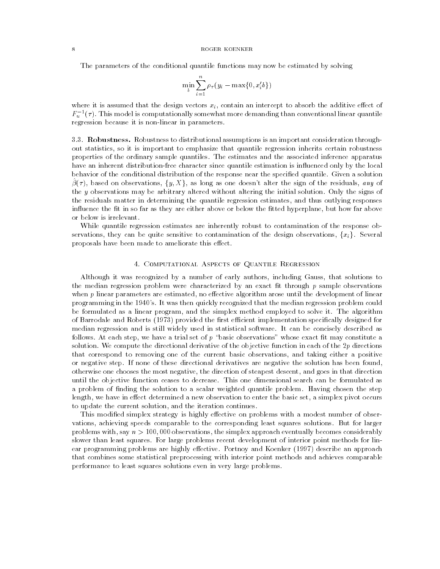The parameters of the conditional quantile functions may now be estimated by solving

$$
\min_b \sum_{i=1}^n \rho_\tau\left(y_i - \max\{0, x_i' b\}\right)
$$

where it is assumed that the design vectors  $x_i$ , contain an intercept to absorb the additive effect of  $F_{\ u}$  "( $\tau$ ). This model is computationally somewhat more demanding than conventional linear quantile regression because it is non-linear in parameters.

3.3. Robustness. Robustness to distributional assumptions is an important consideration throughout statistics, so it is important to emphasize that quantile regression inherits certain robustness properties of the ordinary sample quantiles. The estimates and the associated inference apparatus have an inherent distribution-free character since quantile estimation is influenced only by the local behavior of the conditional distribution of the response near the specied quantile. Given a solution  $\beta(\tau),$  based on observations,  $\{y,X\}$ , as long as one doesn't alter the sign of the residuals, any of the <sup>y</sup> observations may be arbitrary altered without altering the initial solution. Only the signs of the residuals matter in determining the quantile regression estimates, and thus outlying responses influence the fit in so far as they are either above or below the fitted hyperplane, but how far above or below is irrelevant.

While quantile regression estimates are inherently robust to contamination of the response observations, they can be quite sensitive to contamination of the design observations,  $\{x_i\}$ . Several proposals have been made to ameliorate this effect.

# 4. Computational Aspects of Quantile Regression

Although it was recognized byanumber of early authors, including Gauss, that solutions to the median regression problem were characterized by an exact fit through  $p$  sample observations when  $p$  linear parameters are estimated, no effective algorithm arose until the development of linear programming in the 1940's. It was then quickly recognized that the median regression problem could be formulated as a linear program, and the simplex method employed to solve it. The algorithm of Barrodale and Roberts (1973) provided the first efficient implementation specifically designed for median regression and is still widely used in statistical software. It can be concisely described as follows. At each step, we have a trial set of  $p$  "basic observations" whose exact fit may constitute a solution. We compute the directional derivative of the objective function in each of the  $2p$  directions that correspond to removing one of the current basic observations, and taking either a positive or negative step. If none of these directional derivatives are negative the solution has been found, otherwise one chooses the most negative, the direction of steapest descent, and goes in that direction until the objective function ceases to decrease. This one dimensional search can be formulated as a problem of finding the solution to a scalar weighted quantile problem. Having chosen the step length, we have in effect determined a new observation to enter the basic set, a simplex pivot occurs to update the current solution, and the iteration continues.

This modified simplex strategy is highly effective on problems with a modest number of observations, achieving speeds comparable to the corresponding least squares solutions. But for larger problems with, say  $n > 100,000$  observations, the simplex approach eventually becomes considerably slower than least squares. For large problems recent development of interior point methods for linear programming problems are highly effective. Portnoy and Koenker (1997) describe an approach that combines some statistical preprocessing with interior point methods and achieves comparable performance to least squares solutions even in very large problems.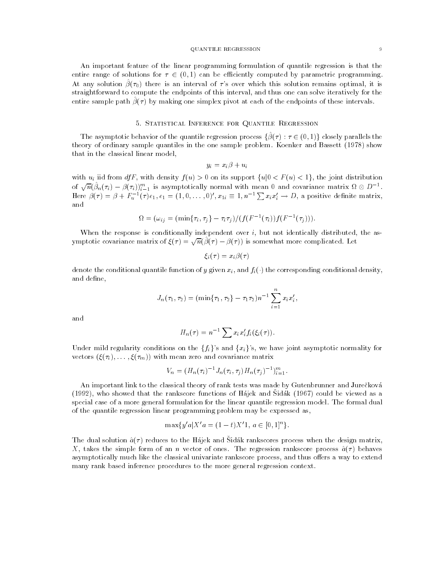#### QUANTILE REGRESSION 9

An important feature of the linear programming formulation of quantile regression is that the entire range of solutions for  $\tau \in (0, 1)$  can be efficiently computed by parametric programming. At any solution  $\beta(\tau_0)$  there is an interval of  $\tau$ 's over which this solution remains optimal, it is straightforward to compute the endpoints of this interval, and thus one can solve iteratively for the entire sample path  $\rho(\tau)$  by making one simplex prvot at each or the endpoints or these intervals.

# 5. Statistical Inference for Quantile Regression

The asymptotic behavior of the quantile regression process  $\{\beta(\tau) : \tau \in (0,1)\}$  closely parallels the theory of ordinary sample quantiles in the one sample problem. Koenker and Bassett (1978) show that in the classical linear model,

$$
y_i = x_i \beta + u_i
$$

with  $u_i$  iid from  $dfF$ , with density  $f(u) > 0$  on its support  $\{u | 0 < F(u) < 1\}$ , the joint distribution of  $\sqrt{n}(\beta_n(\tau_i)-\beta(\tau_i))_{i=1}^m$  is asymptotically normal with mean 0 and covariance matrix  $\Omega\otimes D^{-1}$ . Here  $\beta(\tau) = \beta + F_u^{-1}(\tau) e_1, e_1 = (1, 0, \ldots, 0)$ ,  $x_{1i} \equiv 1, n^{-1} \sum x_i x'_i \rightarrow D$ , a positive definite matrix, and

$$
\Omega = (\omega_{ij} = (\min\{\tau_i, \tau_j\} - \tau_i \tau_j) / (f(F^{-1}(\tau_i))f(F^{-1}(\tau_j))).
$$

When the response is conditionally independent over  $i$ , but not identically distributed, the asymptotic covariance matrix of  $\xi(\tau) = \sqrt{n}(\beta(\tau) - \beta(\tau))$  is somewhat more complicated. Let

$$
\xi_i(\tau) = x_i \beta(\tau)
$$

denote the conditional quantile function of y given  $x_i$ , and  $f_i(\cdot)$  the corresponding conditional density, and define,

$$
J_n(\tau_1, \tau_2) = (\min\{\tau_1, \tau_2\} - \tau_1\tau_2)n^{-1} \sum_{i=1}^n x_i x'_i,
$$

and

$$
H_n(\tau) = n^{-1} \sum x_i x'_i f_i(\xi_i(\tau)).
$$

Under mild regularity conditions on the  $\{f_i\}$ 's and  $\{x_i\}$ 's, we have joint asymptotic normality for vectors  $(\xi(\tau_i),\ldots,\xi(\tau_m))$  with mean zero and covariance matrix

$$
V_n = (H_n(\tau_i)^{-1} J_n(\tau_i, \tau_j) H_n(\tau_j)^{-1})_{i=1}^m.
$$

An important link to the classical theory of rank tests was made by Gutenbrunner and Jurečková  $(1992)$ , who showed that the rankscore functions of Hajek and Sidak  $(1967)$  could be viewed as a special case of a more general formulation for the linear quantile regression model. The formal dual of the quantile regression linear programming problem may be expressed as,

$$
\max\{y'a|X'a = (1-t)X'1, a \in [0,1]^n\}.
$$

The dual solution  $a(r)$  reduces to the Hajek and Sidak rankscores process when the design matrix, X, takes the simple form of an n vector of ones. The regression rankscore process  $\hat{a}(\tau)$  behaves asymptotically much like the classical univariate rankscore process, and thus offers a way to extend many rank based inference procedures to the more general regression context.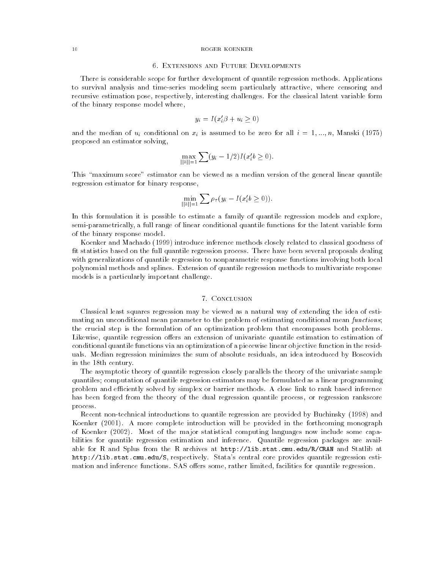#### 6. Extensions and Future Developments

There is considerable scope for further development of quantile regression methods. Applications to survival analysis and time-series modeling seem particularly attractive, where censoring and recursive estimation pose, respectively, interesting challenges. For the classical latent variable form of the binary response model where,

$$
y_i = I(x_i'\beta + u_i \ge 0)
$$

and the median of  $u_i$  conditional on  $x_i$  is assumed to be zero for all  $i = 1, ..., n$ , Manski (1975) proposed an estimator solving,

$$
\max_{||b||=1} \sum_{j} (y_i - 1/2) I(x_i'b \ge 0).
$$

This "maximum score" estimator can be viewed as a median version of the general linear quantile regression estimator for binary response,

$$
\min_{||b||=1} \sum \rho_{\tau}(y_i - I(x_i'b \ge 0)).
$$

In this formulation it is possible to estimate a family of quantile regression models and explore, semi-parametrically, a full range of linear conditional quantile functions for the latent variable form of the binary response model.

Koenker and Machado (1999) introduce inference methods closely related to classical goodness of fit statistics based on the full quantile regression process. There have been several proposals dealing with generalizations of quantile regression to nonparametric response functions involving both local polynomial methods and splines. Extension of quantile regression methods to multivariate response models is a particularly important challenge.

### 7. CONCLUSION

Classical least squares regression may be viewed as a natural way of extending the idea of estimating an unconditional mean parameter to the problem of estimating conditional mean functions; the crucial step is the formulation of an optimization problem that encompasses both problems. Likewise, quantile regression offers an extension of univariate quantile estimation to estimation of conditional quantile functions via an optimization of a piecewise linear objective function in the residuals. Median regression minimizes the sum of absolute residuals, an idea introduced by Boscovich in the 18th century.

The asymptotic theory of quantile regression closely parallels the theory of the univariate sample quantiles; computation of quantile regression estimators may be formulated as a linear programming problem and efficiently solved by simplex or barrier methods. A close link to rank based inference has been forged from the theory of the dual regression quantile process, or regression rankscore process.

Recent non-technical introductions to quantile regression are provided by Buchinsky (1998) and Koenker (2001). A more complete introduction will be provided in the forthcoming monograph of Koenker (2002). Most of the major statistical computing languages now include some capabilities for quantile regression estimation and inference. Quantile regression packages are available for R and Splus from the R archives at http://lib.stat.cmu.edu/R/CRAN and Statlib at http://lib.stat.cmu.edu/S, respectively. Stata's central core provides quantile regression estimation and inference functions. SAS offers some, rather limited, facilities for quantile regression.